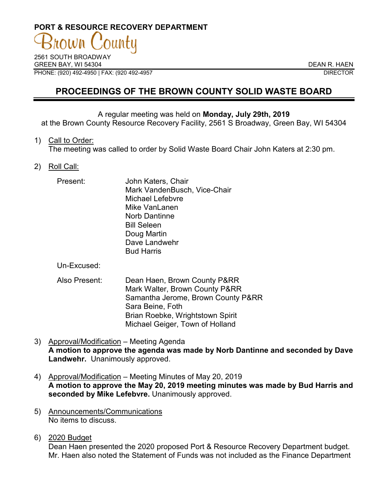# **PORT & RESOURCE RECOVERY DEPARTMENT**

2561 SOUTH BROADWAY GREEN BAY, WI 54304 DEAN R. HAEN PHONE: (920) 492-4950 | FAX: (920 492-4957 DIRECTOR

## **PROCEEDINGS OF THE BROWN COUNTY SOLID WASTE BOARD**

### A regular meeting was held on **Monday, July 29th, 2019**

at the Brown County Resource Recovery Facility, 2561 S Broadway, Green Bay, WI 54304

#### 1) Call to Order:

The meeting was called to order by Solid Waste Board Chair John Katers at 2:30 pm.

### 2) Roll Call:

| Present: | John Katers, Chair<br>Mark VandenBusch, Vice-Chair<br><b>Michael Lefebvre</b><br>Mike VanLanen<br>Norb Dantinne<br><b>Bill Seleen</b> |
|----------|---------------------------------------------------------------------------------------------------------------------------------------|
|          | Doug Martin<br>Dave Landwehr<br><b>Bud Harris</b>                                                                                     |

Un-Excused:

- Also Present: Dean Haen, Brown County P&RR Mark Walter, Brown County P&RR Samantha Jerome, Brown County P&RR Sara Beine, Foth Brian Roebke, Wrightstown Spirit Michael Geiger, Town of Holland
- 3) Approval/Modification Meeting Agenda **A motion to approve the agenda was made by Norb Dantinne and seconded by Dave Landwehr.** Unanimously approved.
- 4) Approval/Modification Meeting Minutes of May 20, 2019 **A motion to approve the May 20, 2019 meeting minutes was made by Bud Harris and seconded by Mike Lefebvre.** Unanimously approved.
- 5) Announcements/Communications No items to discuss.
- 6) 2020 Budget

Dean Haen presented the 2020 proposed Port & Resource Recovery Department budget. Mr. Haen also noted the Statement of Funds was not included as the Finance Department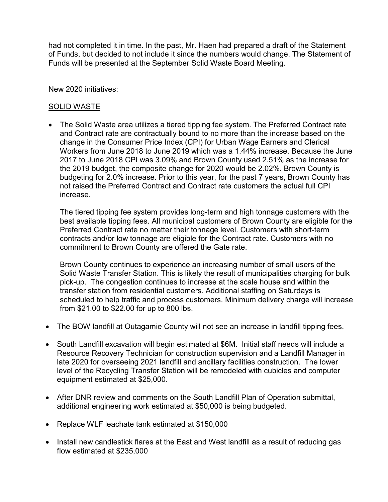had not completed it in time. In the past, Mr. Haen had prepared a draft of the Statement of Funds, but decided to not include it since the numbers would change. The Statement of Funds will be presented at the September Solid Waste Board Meeting.

New 2020 initiatives:

## SOLID WASTE

• The Solid Waste area utilizes a tiered tipping fee system. The Preferred Contract rate and Contract rate are contractually bound to no more than the increase based on the change in the Consumer Price Index (CPI) for Urban Wage Earners and Clerical Workers from June 2018 to June 2019 which was a 1.44% increase. Because the June 2017 to June 2018 CPI was 3.09% and Brown County used 2.51% as the increase for the 2019 budget, the composite change for 2020 would be 2.02%. Brown County is budgeting for 2.0% increase. Prior to this year, for the past 7 years, Brown County has not raised the Preferred Contract and Contract rate customers the actual full CPI increase.

The tiered tipping fee system provides long-term and high tonnage customers with the best available tipping fees. All municipal customers of Brown County are eligible for the Preferred Contract rate no matter their tonnage level. Customers with short-term contracts and/or low tonnage are eligible for the Contract rate. Customers with no commitment to Brown County are offered the Gate rate.

Brown County continues to experience an increasing number of small users of the Solid Waste Transfer Station. This is likely the result of municipalities charging for bulk pick-up. The congestion continues to increase at the scale house and within the transfer station from residential customers. Additional staffing on Saturdays is scheduled to help traffic and process customers. Minimum delivery charge will increase from \$21.00 to \$22.00 for up to 800 lbs.

- The BOW landfill at Outagamie County will not see an increase in landfill tipping fees.
- South Landfill excavation will begin estimated at \$6M. Initial staff needs will include a Resource Recovery Technician for construction supervision and a Landfill Manager in late 2020 for overseeing 2021 landfill and ancillary facilities construction. The lower level of the Recycling Transfer Station will be remodeled with cubicles and computer equipment estimated at \$25,000.
- After DNR review and comments on the South Landfill Plan of Operation submittal, additional engineering work estimated at \$50,000 is being budgeted.
- Replace WLF leachate tank estimated at \$150,000
- Install new candlestick flares at the East and West landfill as a result of reducing gas flow estimated at \$235,000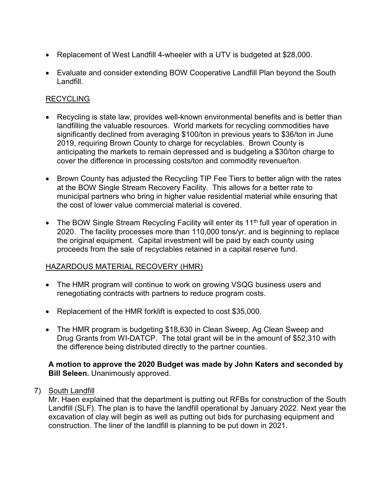- Replacement of West Landfill 4-wheeler with a UTV is budgeted at \$28,000.
- Evaluate and consider extending BOW Cooperative Landfill Plan beyond the South Landfill.

## **RECYCLING**

- Recycling is state law, provides well-known environmental benefits and is better than landfilling the valuable resources. World markets for recycling commodities have significantly declined from averaging \$100/ton in previous years to \$36/ton in June 2019, requiring Brown County to charge for recyclables. Brown County is anticipating the markets to remain depressed and is budgeting a \$30/ton charge to cover the difference in processing costs/ton and commodity revenue/ton.
- Brown County has adjusted the Recycling TIP Fee Tiers to better align with the rates at the BOW Single Stream Recovery Facility. This allows for a better rate to municipal partners who bring in higher value residential material while ensuring that the cost of lower value commercial material is covered.
- The BOW Single Stream Recycling Facility will enter its 11<sup>th</sup> full year of operation in 2020. The facility processes more than 110,000 tons/yr. and is beginning to replace the original equipment. Capital investment will be paid by each county using proceeds from the sale of recyclables retained in a capital reserve fund.

## HAZARDOUS MATERIAL RECOVERY (HMR)

- The HMR program will continue to work on growing VSQG business users and renegotiating contracts with partners to reduce program costs.
- Replacement of the HMR forklift is expected to cost \$35,000.
- The HMR program is budgeting \$18,630 in Clean Sweep, Ag Clean Sweep and Drug Grants from WI-DATCP. The total grant will be in the amount of \$52,310 with the difference being distributed directly to the partner counties.

### **A motion to approve the 2020 Budget was made by John Katers and seconded by Bill Seleen.** Unanimously approved.

7) South Landfill

Mr. Haen explained that the department is putting out RFBs for construction of the South Landfill (SLF). The plan is to have the landfill operational by January 2022. Next year the excavation of clay will begin as well as putting out bids for purchasing equipment and construction. The liner of the landfill is planning to be put down in 2021.